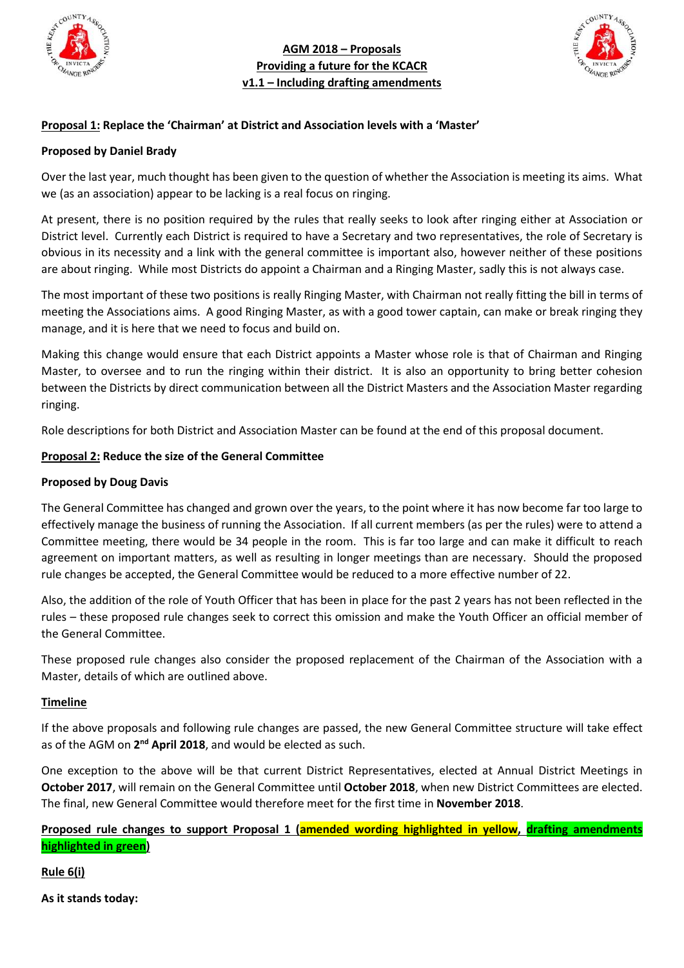

**AGM 2018 – Proposals Providing a future for the KCACR v1.1 – Including drafting amendments**



### **Proposal 1: Replace the 'Chairman' at District and Association levels with a 'Master'**

#### **Proposed by Daniel Brady**

Over the last year, much thought has been given to the question of whether the Association is meeting its aims. What we (as an association) appear to be lacking is a real focus on ringing.

At present, there is no position required by the rules that really seeks to look after ringing either at Association or District level. Currently each District is required to have a Secretary and two representatives, the role of Secretary is obvious in its necessity and a link with the general committee is important also, however neither of these positions are about ringing. While most Districts do appoint a Chairman and a Ringing Master, sadly this is not always case.

The most important of these two positions is really Ringing Master, with Chairman not really fitting the bill in terms of meeting the Associations aims. A good Ringing Master, as with a good tower captain, can make or break ringing they manage, and it is here that we need to focus and build on.

Making this change would ensure that each District appoints a Master whose role is that of Chairman and Ringing Master, to oversee and to run the ringing within their district. It is also an opportunity to bring better cohesion between the Districts by direct communication between all the District Masters and the Association Master regarding ringing.

Role descriptions for both District and Association Master can be found at the end of this proposal document.

#### **Proposal 2: Reduce the size of the General Committee**

#### **Proposed by Doug Davis**

The General Committee has changed and grown over the years, to the point where it has now become far too large to effectively manage the business of running the Association. If all current members (as per the rules) were to attend a Committee meeting, there would be 34 people in the room. This is far too large and can make it difficult to reach agreement on important matters, as well as resulting in longer meetings than are necessary. Should the proposed rule changes be accepted, the General Committee would be reduced to a more effective number of 22.

Also, the addition of the role of Youth Officer that has been in place for the past 2 years has not been reflected in the rules – these proposed rule changes seek to correct this omission and make the Youth Officer an official member of the General Committee.

These proposed rule changes also consider the proposed replacement of the Chairman of the Association with a Master, details of which are outlined above.

#### **Timeline**

If the above proposals and following rule changes are passed, the new General Committee structure will take effect as of the AGM on 2<sup>nd</sup> April 2018, and would be elected as such.

One exception to the above will be that current District Representatives, elected at Annual District Meetings in **October 2017**, will remain on the General Committee until **October 2018**, when new District Committees are elected. The final, new General Committee would therefore meet for the first time in **November 2018**.

**Proposed rule changes to support Proposal 1 (amended wording highlighted in yellow, drafting amendments highlighted in green)**

**Rule 6(i)**

**As it stands today:**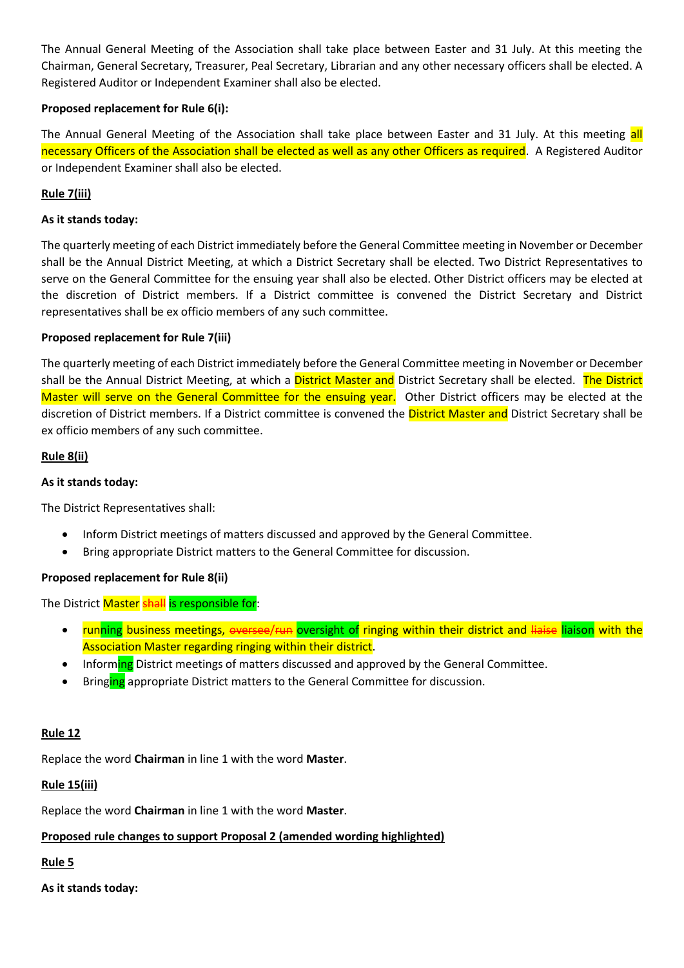The Annual General Meeting of the Association shall take place between Easter and 31 July. At this meeting the Chairman, General Secretary, Treasurer, Peal Secretary, Librarian and any other necessary officers shall be elected. A Registered Auditor or Independent Examiner shall also be elected.

## **Proposed replacement for Rule 6(i):**

The Annual General Meeting of the Association shall take place between Easter and 31 July. At this meeting all necessary Officers of the Association shall be elected as well as any other Officers as required. A Registered Auditor or Independent Examiner shall also be elected.

# **Rule 7(iii)**

## **As it stands today:**

The quarterly meeting of each District immediately before the General Committee meeting in November or December shall be the Annual District Meeting, at which a District Secretary shall be elected. Two District Representatives to serve on the General Committee for the ensuing year shall also be elected. Other District officers may be elected at the discretion of District members. If a District committee is convened the District Secretary and District representatives shall be ex officio members of any such committee.

## **Proposed replacement for Rule 7(iii)**

The quarterly meeting of each District immediately before the General Committee meeting in November or December shall be the Annual District Meeting, at which a District Master and District Secretary shall be elected. The District Master will serve on the General Committee for the ensuing year. Other District officers may be elected at the discretion of District members. If a District committee is convened the District Master and District Secretary shall be ex officio members of any such committee.

## **Rule 8(ii)**

#### **As it stands today:**

The District Representatives shall:

- Inform District meetings of matters discussed and approved by the General Committee.
- Bring appropriate District matters to the General Committee for discussion.

## **Proposed replacement for Rule 8(ii)**

The District Master shall is responsible for:

- running business meetings, oversee/run oversight of ringing within their district and liaise liaison with the Association Master regarding ringing within their district.
- Informing District meetings of matters discussed and approved by the General Committee.
- Bringing appropriate District matters to the General Committee for discussion.

## **Rule 12**

Replace the word **Chairman** in line 1 with the word **Master**.

## **Rule 15(iii)**

Replace the word **Chairman** in line 1 with the word **Master**.

## **Proposed rule changes to support Proposal 2 (amended wording highlighted)**

## **Rule 5**

**As it stands today:**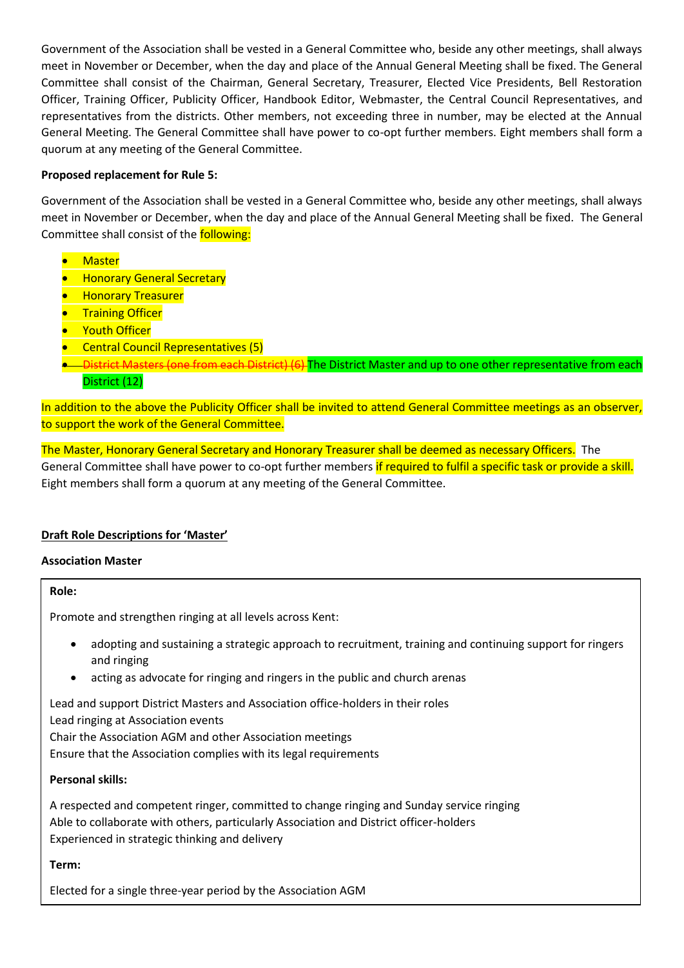Government of the Association shall be vested in a General Committee who, beside any other meetings, shall always meet in November or December, when the day and place of the Annual General Meeting shall be fixed. The General Committee shall consist of the Chairman, General Secretary, Treasurer, Elected Vice Presidents, Bell Restoration Officer, Training Officer, Publicity Officer, Handbook Editor, Webmaster, the Central Council Representatives, and representatives from the districts. Other members, not exceeding three in number, may be elected at the Annual General Meeting. The General Committee shall have power to co-opt further members. Eight members shall form a quorum at any meeting of the General Committee.

## **Proposed replacement for Rule 5:**

Government of the Association shall be vested in a General Committee who, beside any other meetings, shall always meet in November or December, when the day and place of the Annual General Meeting shall be fixed. The General Committee shall consist of the following:

- Master
- Honorary General Secretary
- Honorary Treasurer
- **Training Officer**
- **Youth Officer**
- Central Council Representatives (5)
- District Masters (one from each District) (6) The District Master and up to one other representative from each District (12)

In addition to the above the Publicity Officer shall be invited to attend General Committee meetings as an observer, to support the work of the General Committee.

The Master, Honorary General Secretary and Honorary Treasurer shall be deemed as necessary Officers. The General Committee shall have power to co-opt further members if required to fulfil a specific task or provide a skill. Eight members shall form a quorum at any meeting of the General Committee.

# **Draft Role Descriptions for 'Master'**

## **Association Master**

**Role:**

Promote and strengthen ringing at all levels across Kent:

- adopting and sustaining a strategic approach to recruitment, training and continuing support for ringers and ringing
- acting as advocate for ringing and ringers in the public and church arenas

Lead and support District Masters and Association office-holders in their roles Lead ringing at Association events Chair the Association AGM and other Association meetings Ensure that the Association complies with its legal requirements

## **Personal skills:**

A respected and competent ringer, committed to change ringing and Sunday service ringing Able to collaborate with others, particularly Association and District officer-holders Experienced in strategic thinking and delivery

## **Term:**

Elected for a single three-year period by the Association AGM